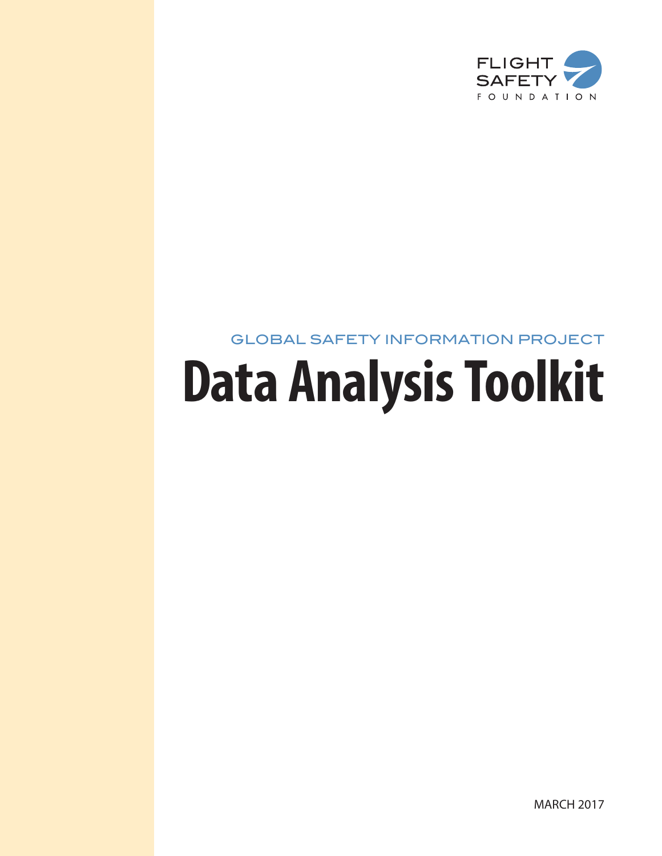

## GLOBAL SAFETY INFORMATION PROJECT

# **Data Analysis Toolkit**

MARCH 2017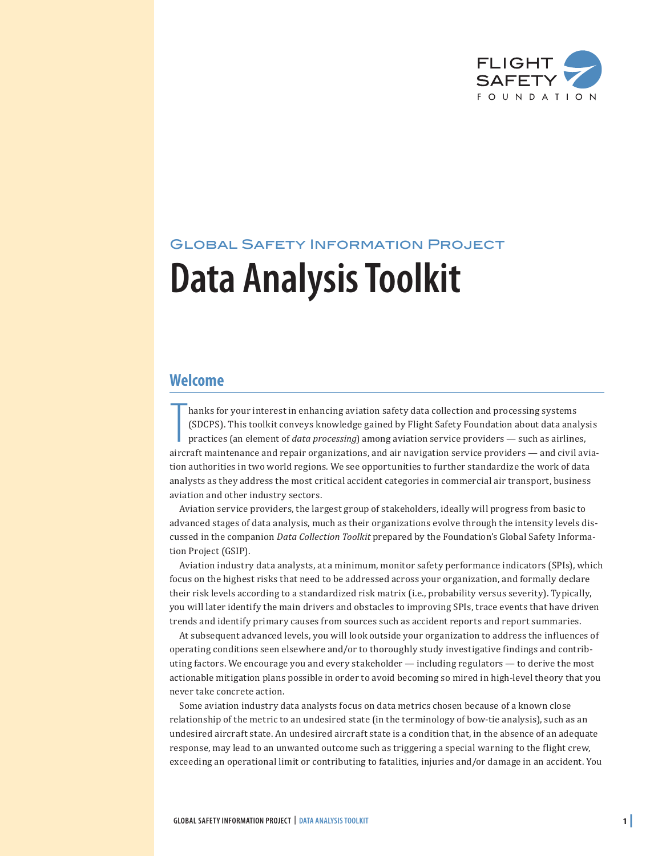

# Global Safety Information Project **Data Analysis Toolkit**

### **Welcome**

hanks for your interest in enhancing aviation safety data collection and processing systems (SDCPS). This toolkit conveys knowledge gained by Flight Safety Foundation about data analysis practices (an element of *data proc* hanks for your interest in enhancing aviation safety data collection and processing systems (SDCPS). This toolkit conveys knowledge gained by Flight Safety Foundation about data analysis practices (an element of *data processing*) among aviation service providers — such as airlines, tion authorities in two world regions. We see opportunities to further standardize the work of data analysts as they address the most critical accident categories in commercial air transport, business aviation and other industry sectors.

Aviation service providers, the largest group of stakeholders, ideally will progress from basic to advanced stages of data analysis, much as their organizations evolve through the intensity levels discussed in the companion *Data Collection Toolkit* prepared by the Foundation's Global Safety Information Project (GSIP).

Aviation industry data analysts, at a minimum, monitor safety performance indicators (SPIs), which focus on the highest risks that need to be addressed across your organization, and formally declare their risk levels according to a standardized risk matrix (i.e., probability versus severity). Typically, you will later identify the main drivers and obstacles to improving SPIs, trace events that have driven trends and identify primary causes from sources such as accident reports and report summaries.

At subsequent advanced levels, you will look outside your organization to address the influences of operating conditions seen elsewhere and/or to thoroughly study investigative findings and contributing factors. We encourage you and every stakeholder — including regulators — to derive the most actionable mitigation plans possible in order to avoid becoming so mired in high-level theory that you never take concrete action.

Some aviation industry data analysts focus on data metrics chosen because of a known close relationship of the metric to an undesired state (in the terminology of bow-tie analysis), such as an undesired aircraft state. An undesired aircraft state is a condition that, in the absence of an adequate response, may lead to an unwanted outcome such as triggering a special warning to the flight crew, exceeding an operational limit or contributing to fatalities, injuries and/or damage in an accident. You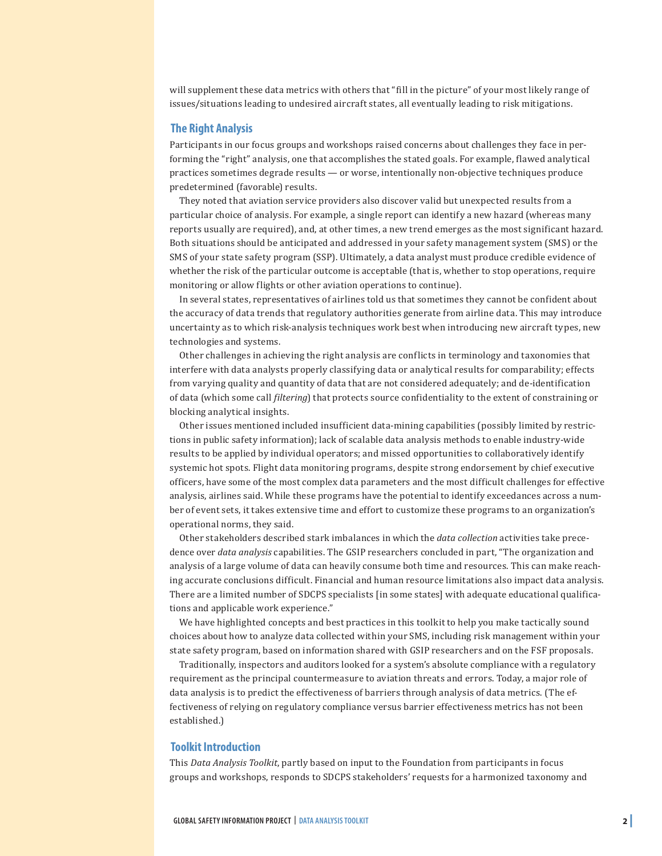will supplement these data metrics with others that "fill in the picture" of your most likely range of issues/situations leading to undesired aircraft states, all eventually leading to risk mitigations.

#### **The Right Analysis**

Participants in our focus groups and workshops raised concerns about challenges they face in performing the "right" analysis, one that accomplishes the stated goals. For example, flawed analytical practices sometimes degrade results — or worse, intentionally non-objective techniques produce predetermined (favorable) results.

They noted that aviation service providers also discover valid but unexpected results from a particular choice of analysis. For example, a single report can identify a new hazard (whereas many reports usually are required), and, at other times, a new trend emerges as the most significant hazard. Both situations should be anticipated and addressed in your safety management system (SMS) or the SMS of your state safety program (SSP). Ultimately, a data analyst must produce credible evidence of whether the risk of the particular outcome is acceptable (that is, whether to stop operations, require monitoring or allow flights or other aviation operations to continue).

In several states, representatives of airlines told us that sometimes they cannot be confident about the accuracy of data trends that regulatory authorities generate from airline data. This may introduce uncertainty as to which risk-analysis techniques work best when introducing new aircraft types, new technologies and systems.

Other challenges in achieving the right analysis are conflicts in terminology and taxonomies that interfere with data analysts properly classifying data or analytical results for comparability; effects from varying quality and quantity of data that are not considered adequately; and de-identification of data (which some call *filtering*) that protects source confidentiality to the extent of constraining or blocking analytical insights.

Other issues mentioned included insufficient data-mining capabilities (possibly limited by restrictions in public safety information); lack of scalable data analysis methods to enable industry-wide results to be applied by individual operators; and missed opportunities to collaboratively identify systemic hot spots. Flight data monitoring programs, despite strong endorsement by chief executive officers, have some of the most complex data parameters and the most difficult challenges for effective analysis, airlines said. While these programs have the potential to identify exceedances across a number of event sets, it takes extensive time and effort to customize these programs to an organization's operational norms, they said.

Other stakeholders described stark imbalances in which the *data collection* activities take precedence over *data analysis* capabilities. The GSIP researchers concluded in part, "The organization and analysis of a large volume of data can heavily consume both time and resources. This can make reaching accurate conclusions difficult. Financial and human resource limitations also impact data analysis. There are a limited number of SDCPS specialists [in some states] with adequate educational qualifications and applicable work experience."

We have highlighted concepts and best practices in this toolkit to help you make tactically sound choices about how to analyze data collected within your SMS, including risk management within your state safety program, based on information shared with GSIP researchers and on the FSF proposals.

Traditionally, inspectors and auditors looked for a system's absolute compliance with a regulatory requirement as the principal countermeasure to aviation threats and errors. Today, a major role of data analysis is to predict the effectiveness of barriers through analysis of data metrics. (The effectiveness of relying on regulatory compliance versus barrier effectiveness metrics has not been established.)

#### **Toolkit Introduction**

This *Data Analysis Toolkit*, partly based on input to the Foundation from participants in focus groups and workshops, responds to SDCPS stakeholders' requests for a harmonized taxonomy and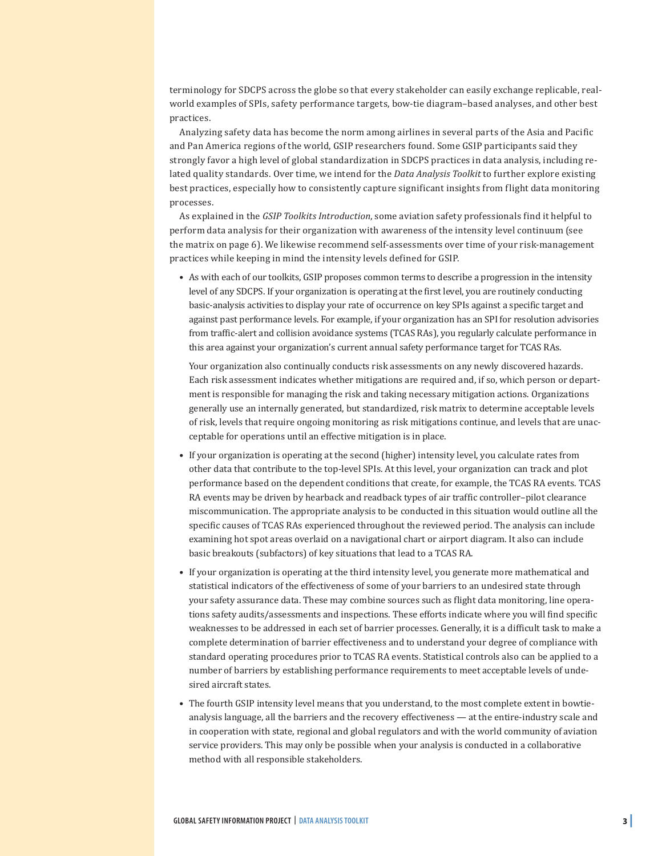terminology for SDCPS across the globe so that every stakeholder can easily exchange replicable, realworld examples of SPIs, safety performance targets, bow-tie diagram–based analyses, and other best practices.

Analyzing safety data has become the norm among airlines in several parts of the Asia and Pacific and Pan America regions of the world, GSIP researchers found. Some GSIP participants said they strongly favor a high level of global standardization in SDCPS practices in data analysis, including related quality standards. Over time, we intend for the *Data Analysis Toolkit* to further explore existing best practices, especially how to consistently capture significant insights from flight data monitoring processes.

As explained in the *GSIP Toolkits Introduction*, some aviation safety professionals find it helpful to perform data analysis for their organization with awareness of the intensity level continuum (see the matrix on page 6). We likewise recommend self-assessments over time of your risk-management practices while keeping in mind the intensity levels defined for GSIP.

• As with each of our toolkits, GSIP proposes common terms to describe a progression in the intensity level of any SDCPS. If your organization is operating at the first level, you are routinely conducting basic-analysis activities to display your rate of occurrence on key SPIs against a specific target and against past performance levels. For example, if your organization has an SPI for resolution advisories from traffic-alert and collision avoidance systems (TCAS RAs), you regularly calculate performance in this area against your organization's current annual safety performance target for TCAS RAs.

Your organization also continually conducts risk assessments on any newly discovered hazards. Each risk assessment indicates whether mitigations are required and, if so, which person or department is responsible for managing the risk and taking necessary mitigation actions. Organizations generally use an internally generated, but standardized, risk matrix to determine acceptable levels of risk, levels that require ongoing monitoring as risk mitigations continue, and levels that are unacceptable for operations until an effective mitigation is in place.

- If your organization is operating at the second (higher) intensity level, you calculate rates from other data that contribute to the top-level SPIs. At this level, your organization can track and plot performance based on the dependent conditions that create, for example, the TCAS RA events. TCAS RA events may be driven by hearback and readback types of air traffic controller–pilot clearance miscommunication. The appropriate analysis to be conducted in this situation would outline all the specific causes of TCAS RAs experienced throughout the reviewed period. The analysis can include examining hot spot areas overlaid on a navigational chart or airport diagram. It also can include basic breakouts (subfactors) of key situations that lead to a TCAS RA.
- If your organization is operating at the third intensity level, you generate more mathematical and statistical indicators of the effectiveness of some of your barriers to an undesired state through your safety assurance data. These may combine sources such as flight data monitoring, line operations safety audits/assessments and inspections. These efforts indicate where you will find specific weaknesses to be addressed in each set of barrier processes. Generally, it is a difficult task to make a complete determination of barrier effectiveness and to understand your degree of compliance with standard operating procedures prior to TCAS RA events. Statistical controls also can be applied to a number of barriers by establishing performance requirements to meet acceptable levels of undesired aircraft states.
- The fourth GSIP intensity level means that you understand, to the most complete extent in bowtieanalysis language, all the barriers and the recovery effectiveness — at the entire-industry scale and in cooperation with state, regional and global regulators and with the world community of aviation service providers. This may only be possible when your analysis is conducted in a collaborative method with all responsible stakeholders.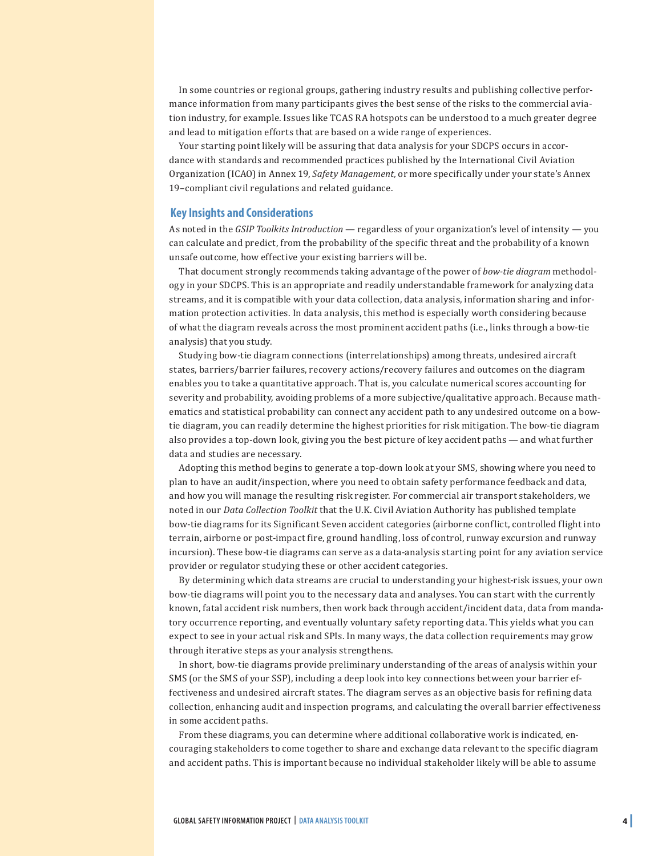In some countries or regional groups, gathering industry results and publishing collective performance information from many participants gives the best sense of the risks to the commercial aviation industry, for example. Issues like TCAS RA hotspots can be understood to a much greater degree and lead to mitigation efforts that are based on a wide range of experiences.

Your starting point likely will be assuring that data analysis for your SDCPS occurs in accordance with standards and recommended practices published by the International Civil Aviation Organization (ICAO) in Annex 19, *Safety Management,* or more specifically under your state's Annex 19–compliant civil regulations and related guidance.

#### **Key Insights and Considerations**

As noted in the *GSIP Toolkits Introduction* — regardless of your organization's level of intensity — you can calculate and predict, from the probability of the specific threat and the probability of a known unsafe outcome, how effective your existing barriers will be.

That document strongly recommends taking advantage of the power of *bow-tie diagram* methodology in your SDCPS. This is an appropriate and readily understandable framework for analyzing data streams, and it is compatible with your data collection, data analysis, information sharing and information protection activities. In data analysis, this method is especially worth considering because of what the diagram reveals across the most prominent accident paths (i.e., links through a bow-tie analysis) that you study.

Studying bow-tie diagram connections (interrelationships) among threats, undesired aircraft states, barriers/barrier failures, recovery actions/recovery failures and outcomes on the diagram enables you to take a quantitative approach. That is, you calculate numerical scores accounting for severity and probability, avoiding problems of a more subjective/qualitative approach. Because mathematics and statistical probability can connect any accident path to any undesired outcome on a bowtie diagram, you can readily determine the highest priorities for risk mitigation. The bow-tie diagram also provides a top-down look, giving you the best picture of key accident paths — and what further data and studies are necessary.

Adopting this method begins to generate a top-down look at your SMS, showing where you need to plan to have an audit/inspection, where you need to obtain safety performance feedback and data, and how you will manage the resulting risk register. For commercial air transport stakeholders, we noted in our *Data Collection Toolkit* that the U.K. Civil Aviation Authority has published template bow-tie diagrams for its Significant Seven accident categories (airborne conflict, controlled flight into terrain, airborne or post-impact fire, ground handling, loss of control, runway excursion and runway incursion). These bow-tie diagrams can serve as a data-analysis starting point for any aviation service provider or regulator studying these or other accident categories.

By determining which data streams are crucial to understanding your highest-risk issues, your own bow-tie diagrams will point you to the necessary data and analyses. You can start with the currently known, fatal accident risk numbers, then work back through accident/incident data, data from mandatory occurrence reporting, and eventually voluntary safety reporting data. This yields what you can expect to see in your actual risk and SPIs. In many ways, the data collection requirements may grow through iterative steps as your analysis strengthens.

In short, bow-tie diagrams provide preliminary understanding of the areas of analysis within your SMS (or the SMS of your SSP), including a deep look into key connections between your barrier effectiveness and undesired aircraft states. The diagram serves as an objective basis for refining data collection, enhancing audit and inspection programs, and calculating the overall barrier effectiveness in some accident paths.

From these diagrams, you can determine where additional collaborative work is indicated, encouraging stakeholders to come together to share and exchange data relevant to the specific diagram and accident paths. This is important because no individual stakeholder likely will be able to assume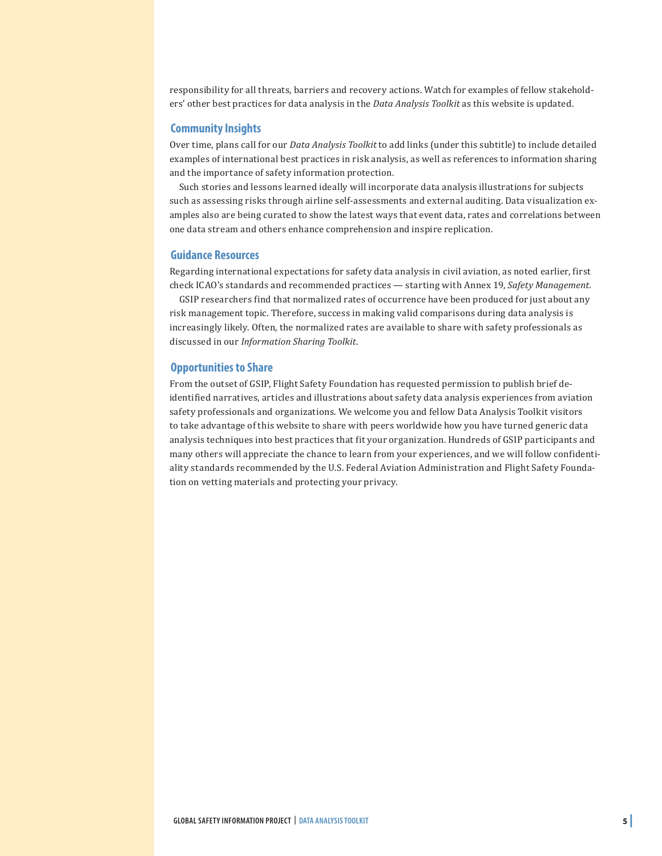responsibility for all threats, barriers and recovery actions. Watch for examples of fellow stakeholders' other best practices for data analysis in the *Data Analysis Toolkit* as this website is updated.

#### **Community Insights**

Over time, plans call for our *Data Analysis Toolkit* to add links (under this subtitle) to include detailed examples of international best practices in risk analysis, as well as references to information sharing and the importance of safety information protection.

Such stories and lessons learned ideally will incorporate data analysis illustrations for subjects such as assessing risks through airline self-assessments and external auditing. Data visualization examples also are being curated to show the latest ways that event data, rates and correlations between one data stream and others enhance comprehension and inspire replication.

#### **Guidance Resources**

Regarding international expectations for safety data analysis in civil aviation, as noted earlier, first check ICAO's standards and recommended practices — starting with Annex 19, *Safety Management.*

GSIP researchers find that normalized rates of occurrence have been produced for just about any risk management topic. Therefore, success in making valid comparisons during data analysis is increasingly likely. Often, the normalized rates are available to share with safety professionals as discussed in our *Information Sharing Toolkit*.

#### **Opportunities to Share**

From the outset of GSIP, Flight Safety Foundation has requested permission to publish brief deidentified narratives, articles and illustrations about safety data analysis experiences from aviation safety professionals and organizations. We welcome you and fellow Data Analysis Toolkit visitors to take advantage of this website to share with peers worldwide how you have turned generic data analysis techniques into best practices that fit your organization. Hundreds of GSIP participants and many others will appreciate the chance to learn from your experiences, and we will follow confidentiality standards recommended by the U.S. Federal Aviation Administration and Flight Safety Foundation on vetting materials and protecting your privacy.